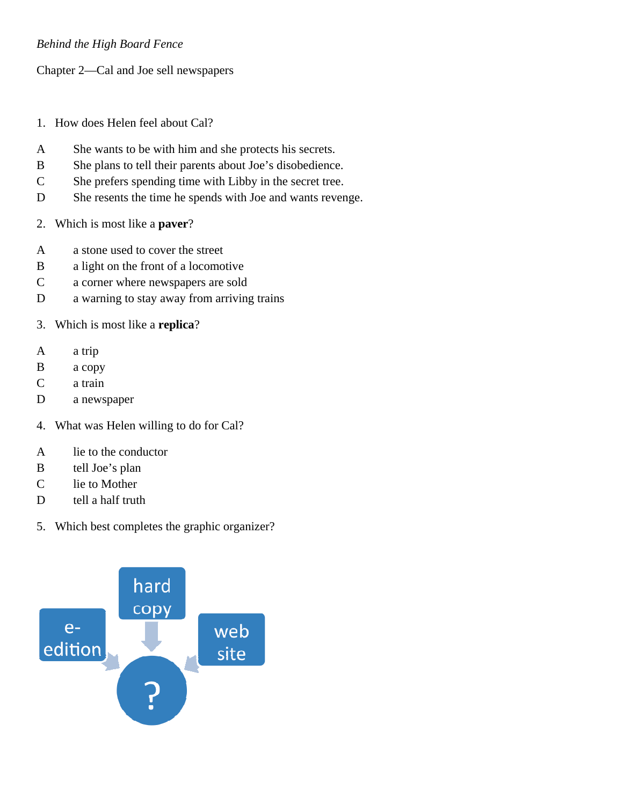## *Behind the High Board Fence*

Chapter 2—Cal and Joe sell newspapers

- 1. How does Helen feel about Cal?
- A She wants to be with him and she protects his secrets.
- B She plans to tell their parents about Joe's disobedience.
- C She prefers spending time with Libby in the secret tree.
- D She resents the time he spends with Joe and wants revenge.
- 2. Which is most like a **paver**?
- A a stone used to cover the street
- B a light on the front of a locomotive
- C a corner where newspapers are sold
- D a warning to stay away from arriving trains
- 3. Which is most like a **replica**?
- A a trip
- B a copy
- C a train
- D a newspaper
- 4. What was Helen willing to do for Cal?
- A lie to the conductor
- B tell Joe's plan
- C lie to Mother
- D tell a half truth
- 5. Which best completes the graphic organizer?